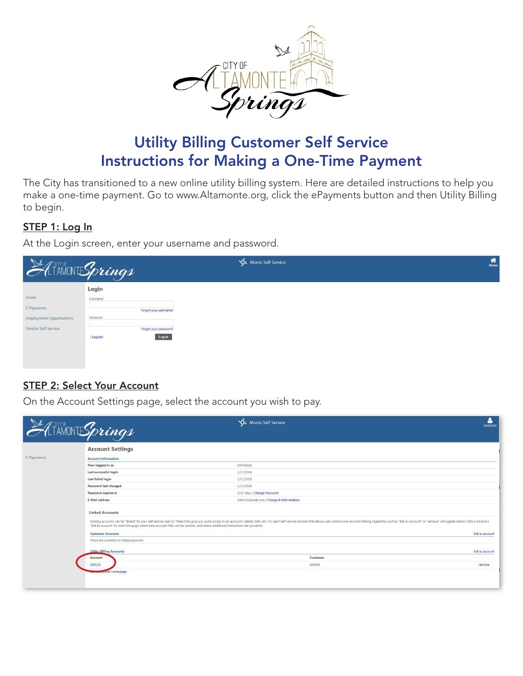

# Utility Billing Customer Self Service Instructions for Making a One-Time Payment

The City has transitioned to a new online utility billing system. Here are detailed instructions to help you make a one-time payment. Go to [www.Altamonte.org,](www.Altamonte.org) click the ePayments button and then Utility Billing to begin.

### STEP 1: Log In

At the Login screen, enter your username and password.

| ATAMONTESprings                 |                       | Munis Self Service | $\hat{\mathbf{a}}$<br>Home |
|---------------------------------|-----------------------|--------------------|----------------------------|
|                                 | Login                 |                    |                            |
| Home                            | Username              |                    |                            |
| E-Payments                      | Forgot your username? |                    |                            |
| <b>Employment Opportunities</b> | Password              |                    |                            |
| Vendor Self Service             | Forgot your password? |                    |                            |
|                                 | Log in<br>Register    |                    |                            |
|                                 |                       |                    |                            |
|                                 |                       |                    |                            |
|                                 |                       |                    |                            |

#### STEP 2: Select Your Account

On the Account Settings page, select the account you wish to pay.

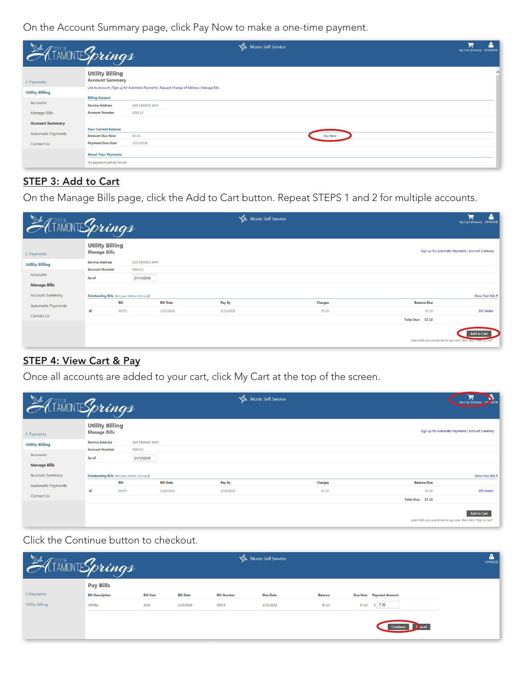On the Account Summary page, click Pay Now to make a one-time payment.

| ATAMONTESprings           |                                                  |                                                                                             | <b>WA</b> Munis Self Service |         | ≗<br>Ħ<br>My Cart (0 items) JOHNDOE |        |
|---------------------------|--------------------------------------------------|---------------------------------------------------------------------------------------------|------------------------------|---------|-------------------------------------|--------|
| E-Payments                | <b>Utility Billing</b><br><b>Account Summary</b> |                                                                                             |                              |         |                                     | $\sim$ |
| <b>Utility Billing</b>    |                                                  | Link to Account   Sign up for Automatic Payments   Request Change of Address   Manage Bills |                              |         |                                     |        |
|                           | <b>Billing Account</b>                           |                                                                                             |                              |         |                                     |        |
| <b>Accounts</b>           | <b>Service Address</b>                           | <b>630 CRANES WAY</b>                                                                       |                              |         |                                     |        |
| <b>Manage Bills</b>       | <b>Account Number</b>                            | 000110                                                                                      |                              |         |                                     |        |
| <b>Account Summary</b>    |                                                  |                                                                                             |                              |         |                                     |        |
| <b>Automatic Payments</b> | <b>Your Current Balance</b>                      |                                                                                             |                              |         |                                     |        |
|                           | <b>Amount Due Now</b>                            | \$7.10                                                                                      |                              | Pay Now |                                     |        |
| Contact Us                | <b>Payment Due Date</b>                          | 2/15/2018                                                                                   |                              |         |                                     |        |
|                           | <b>About Your Payments</b>                       |                                                                                             |                              |         |                                     |        |
|                           | No payment activity found                        |                                                                                             |                              |         |                                     |        |

## STEP 3: Add to Cart

On the Manage Bills page, click the Add to Cart button. Repeat STEPS 1 and 2 for multiple accounts.

| ATAMONTESprings           |                                                  |                       | Munis Self Service |         |                                                                 | Δ<br>Έ<br>My Cart (0 items) JOHNDOE              |
|---------------------------|--------------------------------------------------|-----------------------|--------------------|---------|-----------------------------------------------------------------|--------------------------------------------------|
| E-Payments                | <b>Utility Billing</b><br><b>Manage Bills</b>    |                       |                    |         |                                                                 | Sign up for Automatic Payments   Account Summary |
| <b>Utility Billing</b>    | <b>Service Address</b>                           | <b>630 CRANES WAY</b> |                    |         |                                                                 |                                                  |
| Accounts                  | <b>Account Number</b>                            | 000110                |                    |         |                                                                 |                                                  |
|                           | As of                                            | 01/17/2018            |                    |         |                                                                 |                                                  |
| <b>Manage Bills</b>       |                                                  |                       |                    |         |                                                                 |                                                  |
| <b>Account Summary</b>    | Outstanding Bills (bill years 1998 to 2020 only) |                       |                    |         |                                                                 | Show Past Bills ₹                                |
| <b>Automatic Payments</b> | <b>Bill</b>                                      | <b>Bill Date</b>      | Pay By             | Charges | <b>Balance Due</b>                                              |                                                  |
|                           | $\overline{\blacktriangledown}$<br>50573         | 1/25/2018             | 2/15/2018          | \$7.10  | \$7,10                                                          | <b>Bill Details</b>                              |
| Contact Us                |                                                  |                       |                    |         | Total Due: \$7.10                                               |                                                  |
|                           |                                                  |                       |                    |         | select bills you would like to pay now, then circk nuur to Cart | <b>Add to Cart</b>                               |

## **STEP 4: View Cart & Pay**

Once all accounts are added to your cart, click My Cart at the top of the screen.

| ATAMONTESprings           |                                                  |             |                       | Munis Self Service |         |                    | My Cart (0 items) JOV 2008                                                             |
|---------------------------|--------------------------------------------------|-------------|-----------------------|--------------------|---------|--------------------|----------------------------------------------------------------------------------------|
| E-Payments                | <b>Utility Billing</b><br><b>Manage Bills</b>    |             |                       |                    |         |                    | Sign up for Automatic Payments   Account Summary                                       |
| <b>Utility Billing</b>    | <b>Service Address</b>                           |             | <b>630 CRANES WAY</b> |                    |         |                    |                                                                                        |
|                           | <b>Account Number</b>                            | 000110      |                       |                    |         |                    |                                                                                        |
| Accounts                  | As of                                            |             | 01/17/2018            |                    |         |                    |                                                                                        |
| <b>Manage Bills</b>       |                                                  |             |                       |                    |         |                    |                                                                                        |
| <b>Account Summary</b>    | Outstanding Bills (bill years 1998 to 2020 only) |             |                       |                    |         |                    | Show Past Bills ₹                                                                      |
| <b>Automatic Payments</b> |                                                  | <b>Bill</b> | <b>Bill Date</b>      | Pay By             | Charges | <b>Balance Due</b> |                                                                                        |
|                           | $\overline{\blacktriangledown}$                  | 50573       | 1/25/2018             | 2/15/2018          | \$7.10  | \$7.10             | <b>Bill Details</b>                                                                    |
| Contact Us                |                                                  |             |                       |                    |         | Total Due: \$7.10  |                                                                                        |
|                           |                                                  |             |                       |                    |         |                    | <b>Add to Cart</b><br>select bills you would like to pay now, then click "Add to Cart' |

Click the Continue button to checkout.

| $\frac{1}{2}$          | LAINONTESprings                             |                  |                                       |                    | Munis Self Service |                |                       |                        | Δ<br><b>JOHNDOE</b> |
|------------------------|---------------------------------------------|------------------|---------------------------------------|--------------------|--------------------|----------------|-----------------------|------------------------|---------------------|
| E-Payments             | <b>Pay Bills</b><br><b>Bill Description</b> | <b>Bill Year</b> | <b>STATISTICS</b><br><b>Bill Date</b> | <b>Bill Number</b> | <b>Due Date</b>    | <b>Balance</b> | <b>STATE OF STATE</b> | Due Now Payment Amount |                     |
| <b>Utility Billing</b> | Utilities                                   | 2018             | 1/25/2018                             | 50573              | 2/15/2018          | \$7.10         | \$7.10                | $S = 7.10$<br>C ncel   |                     |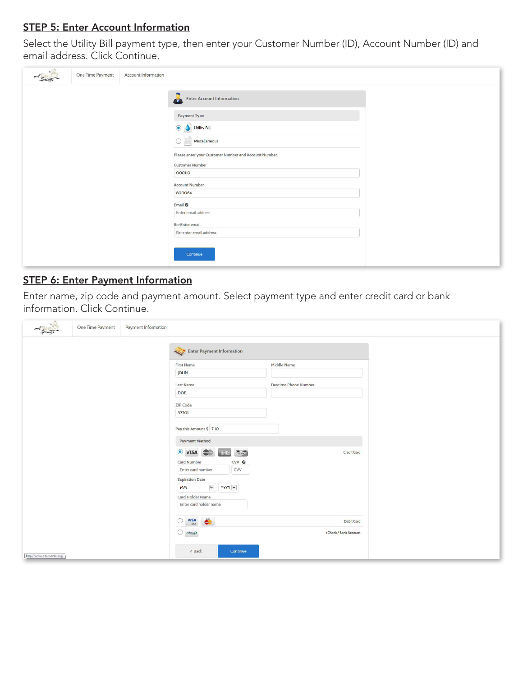### **STEP 5: Enter Account Information**

Select the Utility Bill payment type, then enter your Customer Number (ID), Account Number (ID) and email address. Click Continue.

| One Time Payment<br>$A_{Springs}$ | Account Information                                                                                                                                                                                                                                                                                                                                      |  |
|-----------------------------------|----------------------------------------------------------------------------------------------------------------------------------------------------------------------------------------------------------------------------------------------------------------------------------------------------------------------------------------------------------|--|
|                                   | $\mathbf{r}$<br><b>Enter Account Information</b><br><b>Payment Type</b><br>Utility Bill<br>$\odot$<br>Miscellaneous<br>Please enter your Customer Number and Account Number.<br><b>Customer Number</b><br>000110<br><b>Account Number</b><br>600064<br>Email <sup>O</sup><br>Enter email address<br>Re-Enter email<br>Re-enter email address<br>Continue |  |

### STEP 6: Enter Payment Information

Enter name, zip code and payment amount. Select payment type and enter credit card or bank<br>information. Click Continue.

| $A_{grung}$               | One Time Payment | <b>Payment Information</b> |                                                                                                                                                                                                              |                                     |  |
|---------------------------|------------------|----------------------------|--------------------------------------------------------------------------------------------------------------------------------------------------------------------------------------------------------------|-------------------------------------|--|
|                           |                  |                            | Enter Payment Information                                                                                                                                                                                    |                                     |  |
|                           |                  |                            | <b>First Name</b><br>JOHN                                                                                                                                                                                    | Middle Name                         |  |
|                           |                  |                            | <b>Last Name</b>                                                                                                                                                                                             | <b>Daytime Phone Number</b>         |  |
|                           |                  |                            | DOE,<br><b>ZIP Code</b><br>32701                                                                                                                                                                             |                                     |  |
|                           |                  |                            | Pay this Amount \$ 7.10                                                                                                                                                                                      |                                     |  |
|                           |                  |                            | <b>Payment Method</b>                                                                                                                                                                                        |                                     |  |
|                           |                  |                            | $\odot$<br><b>DISCOVER</b><br><b>VISA</b><br><b>Card Number</b><br>CVV <sup>O</sup><br>Enter card number<br>CVV<br><b>Expiration Date</b><br>$\blacktriangledown$<br>YYYY V<br><b>MM</b><br>Card Holder Name | <b>Credit Card</b>                  |  |
|                           |                  |                            | Enter card holder name                                                                                                                                                                                       |                                     |  |
|                           |                  |                            | VISA<br>$\circ$<br>$\bigcirc$ echeck                                                                                                                                                                         | Debit Card<br>eCheck / Bank Account |  |
| http://www.altamonte.org/ |                  |                            | < Back<br>Continue                                                                                                                                                                                           |                                     |  |